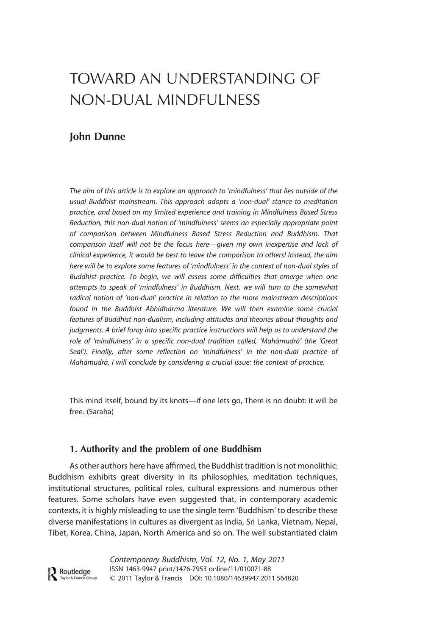# TOWARD AN UNDERSTANDING OF NON-DUAL MINDFULNESS

## John Dunne

The aim of this article is to explore an approach to 'mindfulness' that lies outside of the usual Buddhist mainstream. This approach adopts a 'non-dual' stance to meditation practice, and based on my limited experience and training in Mindfulness Based Stress Reduction, this non-dual notion of 'mindfulness' seems an especially appropriate point of comparison between Mindfulness Based Stress Reduction and Buddhism. That comparison itself will not be the focus here—given my own inexpertise and lack of clinical experience, it would be best to leave the comparison to others! Instead, the aim here will be to explore some features of 'mindfulness' in the context of non-dual styles of Buddhist practice. To begin, we will assess some difficulties that emerge when one attempts to speak of 'mindfulness' in Buddhism. Next, we will turn to the somewhat radical notion of 'non-dual' practice in relation to the more mainstream descriptions found in the Buddhist Abhidharma literature. We will then examine some crucial features of Buddhist non-dualism, including attitudes and theories about thoughts and judgments. A brief foray into specific practice instructions will help us to understand the role of 'mindfulness' in a specific non-dual tradition called, 'Mahāmudrā' (the 'Great Seal'). Finally, after some reflection on 'mindfulness' in the non-dual practice of Mahāmudrā, I will conclude by considering a crucial issue: the context of practice.

This mind itself, bound by its knots—if one lets go, There is no doubt: it will be free. (Saraha)

## 1. Authority and the problem of one Buddhism

As other authors here have affirmed, the Buddhist tradition is not monolithic: Buddhism exhibits great diversity in its philosophies, meditation techniques, institutional structures, political roles, cultural expressions and numerous other features. Some scholars have even suggested that, in contemporary academic contexts, it is highly misleading to use the single term 'Buddhism' to describe these diverse manifestations in cultures as divergent as India, Sri Lanka, Vietnam, Nepal, Tibet, Korea, China, Japan, North America and so on. The well substantiated claim

Routledge Taylor & Francis Group Contemporary Buddhism, Vol. 12, No. 1, May 2011 ISSN 1463-9947 print/1476-7953 online/11/010071-88 q 2011 Taylor & Francis DOI: 10.1080/14639947.2011.564820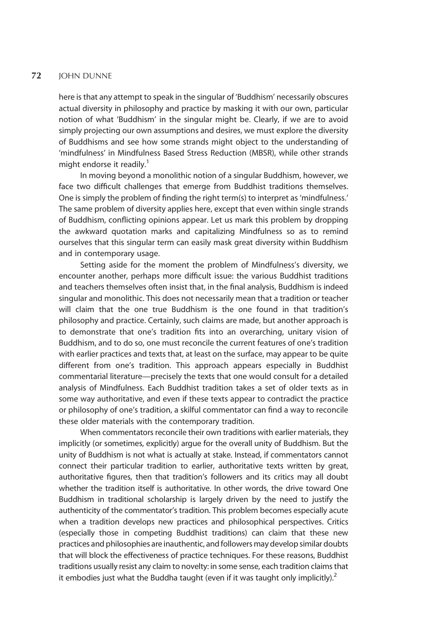here is that any attempt to speak in the singular of 'Buddhism' necessarily obscures actual diversity in philosophy and practice by masking it with our own, particular notion of what 'Buddhism' in the singular might be. Clearly, if we are to avoid simply projecting our own assumptions and desires, we must explore the diversity of Buddhisms and see how some strands might object to the understanding of 'mindfulness' in Mindfulness Based Stress Reduction (MBSR), while other strands might endorse it readily.<sup>1</sup>

In moving beyond a monolithic notion of a singular Buddhism, however, we face two difficult challenges that emerge from Buddhist traditions themselves. One is simply the problem of finding the right term(s) to interpret as 'mindfulness.' The same problem of diversity applies here, except that even within single strands of Buddhism, conflicting opinions appear. Let us mark this problem by dropping the awkward quotation marks and capitalizing Mindfulness so as to remind ourselves that this singular term can easily mask great diversity within Buddhism and in contemporary usage.

Setting aside for the moment the problem of Mindfulness's diversity, we encounter another, perhaps more difficult issue: the various Buddhist traditions and teachers themselves often insist that, in the final analysis, Buddhism is indeed singular and monolithic. This does not necessarily mean that a tradition or teacher will claim that the one true Buddhism is the one found in that tradition's philosophy and practice. Certainly, such claims are made, but another approach is to demonstrate that one's tradition fits into an overarching, unitary vision of Buddhism, and to do so, one must reconcile the current features of one's tradition with earlier practices and texts that, at least on the surface, may appear to be quite different from one's tradition. This approach appears especially in Buddhist commentarial literature—precisely the texts that one would consult for a detailed analysis of Mindfulness. Each Buddhist tradition takes a set of older texts as in some way authoritative, and even if these texts appear to contradict the practice or philosophy of one's tradition, a skilful commentator can find a way to reconcile these older materials with the contemporary tradition.

When commentators reconcile their own traditions with earlier materials, they implicitly (or sometimes, explicitly) argue for the overall unity of Buddhism. But the unity of Buddhism is not what is actually at stake. Instead, if commentators cannot connect their particular tradition to earlier, authoritative texts written by great, authoritative figures, then that tradition's followers and its critics may all doubt whether the tradition itself is authoritative. In other words, the drive toward One Buddhism in traditional scholarship is largely driven by the need to justify the authenticity of the commentator's tradition. This problem becomes especially acute when a tradition develops new practices and philosophical perspectives. Critics (especially those in competing Buddhist traditions) can claim that these new practices and philosophies are inauthentic, and followers may develop similar doubts that will block the effectiveness of practice techniques. For these reasons, Buddhist traditions usually resist any claim to novelty: in some sense, each tradition claims that it embodies just what the Buddha taught (even if it was taught only implicitly).<sup>2</sup>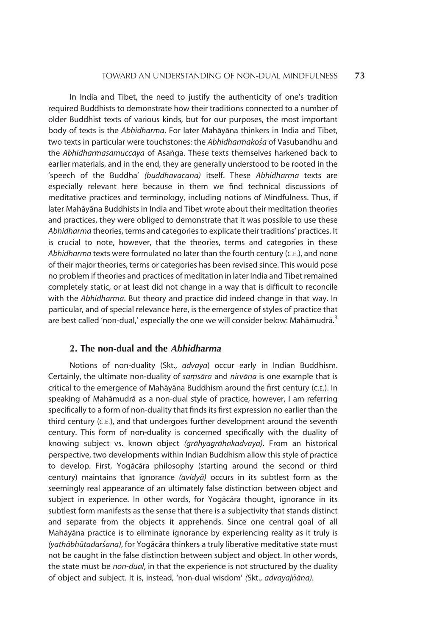In India and Tibet, the need to justify the authenticity of one's tradition required Buddhists to demonstrate how their traditions connected to a number of older Buddhist texts of various kinds, but for our purposes, the most important body of texts is the Abhidharma. For later Mahayana thinkers in India and Tibet, two texts in particular were touchstones: the Abhidharmakośa of Vasubandhu and the Abhidharmasamuccaya of Asanga. These texts themselves harkened back to earlier materials, and in the end, they are generally understood to be rooted in the 'speech of the Buddha' (buddhavacana) itself. These Abhidharma texts are especially relevant here because in them we find technical discussions of meditative practices and terminology, including notions of Mindfulness. Thus, if later Mahāyāna Buddhists in India and Tibet wrote about their meditation theories and practices, they were obliged to demonstrate that it was possible to use these Abhidharma theories, terms and categories to explicate their traditions' practices. It is crucial to note, however, that the theories, terms and categories in these Abhidharma texts were formulated no later than the fourth century (C.E.), and none of their major theories, terms or categories has been revised since. This would pose no problem if theories and practices of meditation in later India and Tibet remained completely static, or at least did not change in a way that is difficult to reconcile with the Abhidharma. But theory and practice did indeed change in that way. In particular, and of special relevance here, is the emergence of styles of practice that are best called 'non-dual,' especially the one we will consider below: Mahāmudrā. $^{\tilde{3}}$ 

## 2. The non-dual and the Abhidharma

Notions of non-duality (Skt., advaya) occur early in Indian Buddhism. Certainly, the ultimate non-duality of *saṃsāra* and *nirvāṇa* is one example that is critical to the example that is extrainity, the unimate from additivity of surpressed and investigate one shample that is<br>critical to the emergence of Mahāyāna Buddhism around the first century (C.E.). In speaking of Mahāmudrā as a non-dual style of practice, however, I am referring specifically to a form of non-duality that finds its first expression no earlier than the third century (C.E.), and that undergoes further development around the seventh century. This form of non-duality is concerned specifically with the duality of knowing subject vs. known object (grāhyagrāhakadvaya). From an historical perspective, two developments within Indian Buddhism allow this style of practice to develop. First, Yogācāra philosophy (starting around the second or third century) maintains that ignorance (avidyā) occurs in its subtlest form as the seemingly real appearance of an ultimately false distinction between object and subject in experience. In other words, for Yogācāra thought, ignorance in its subtlest form manifests as the sense that there is a subjectivity that stands distinct and separate from the objects it apprehends. Since one central goal of all Mahāyāna practice is to eliminate ignorance by experiencing reality as it truly is (yathābhūtadarśana), for Yogācāra thinkers a truly liberative meditative state must not be caught in the false distinction between subject and object. In other words, the state must be non-dual, in that the experience is not structured by the duality of object and subject. It is, instead, 'non-dual wisdom' (Skt., advayajñāna).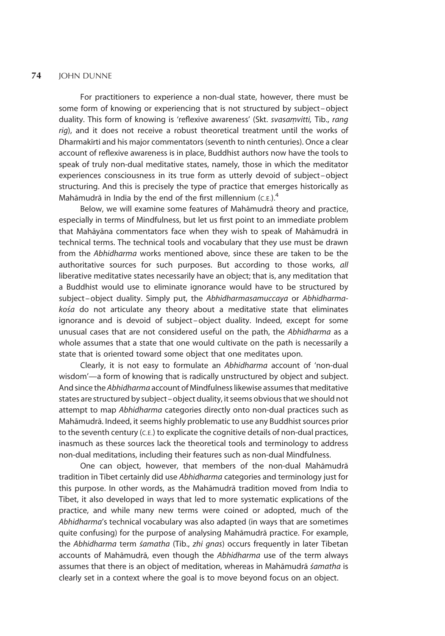For practitioners to experience a non-dual state, however, there must be some form of knowing or experiencing that is not structured by subject– object duality. This form of knowing is 'reflexive awareness' (Skt. svasamvitti, Tib., rang<br>rie), and it does not ressive a rebust theoretical treatment until the werks of rig), and it does not receive a robust theoretical treatment until the works of Dharmakīrti and his major commentators (seventh to ninth centuries). Once a clear account of reflexive awareness is in place, Buddhist authors now have the tools to speak of truly non-dual meditative states, namely, those in which the meditator experiences consciousness in its true form as utterly devoid of subject–object structuring. And this is precisely the type of practice that emerges historically as Mahāmudrā in India by the end of the first millennium (C.E.).<sup>4</sup>

Below, we will examine some features of Mahāmudrā theory and practice, especially in terms of Mindfulness, but let us first point to an immediate problem that Mahāyāna commentators face when they wish to speak of Mahāmudrā in technical terms. The technical tools and vocabulary that they use must be drawn from the Abhidharma works mentioned above, since these are taken to be the authoritative sources for such purposes. But according to those works, all liberative meditative states necessarily have an object; that is, any meditation that a Buddhist would use to eliminate ignorance would have to be structured by subject-object duality. Simply put, the Abhidharmasamuccaya or Abhidharmakośa do not articulate any theory about a meditative state that eliminates ignorance and is devoid of subject– object duality. Indeed, except for some unusual cases that are not considered useful on the path, the Abhidharma as a whole assumes that a state that one would cultivate on the path is necessarily a state that is oriented toward some object that one meditates upon.

Clearly, it is not easy to formulate an Abhidharma account of 'non-dual wisdom'—a form of knowing that is radically unstructured by object and subject. And since the Abhidharma account of Mindfulness likewise assumes that meditative states are structured by subject– object duality, it seems obvious that we should not attempt to map Abhidharma categories directly onto non-dual practices such as Mahāmudrā. Indeed, it seems highly problematic to use any Buddhist sources prior to the seventh century (C.E.) to explicate the cognitive details of non-dual practices, inasmuch as these sources lack the theoretical tools and terminology to address non-dual meditations, including their features such as non-dual Mindfulness.

One can object, however, that members of the non-dual Mahāmudrā tradition in Tibet certainly did use Abhidharma categories and terminology just for this purpose. In other words, as the Mahāmudrā tradition moved from India to Tibet, it also developed in ways that led to more systematic explications of the practice, and while many new terms were coined or adopted, much of the Abhidharma's technical vocabulary was also adapted (in ways that are sometimes quite confusing) for the purpose of analysing Mahāmudrā practice. For example, the Abhidharma term samatha (Tib., zhi gnas) occurs frequently in later Tibetan accounts of Mahāmudrā, even though the Abhidharma use of the term always assumes that there is an object of meditation, whereas in Mahāmudrā samatha is clearly set in a context where the goal is to move beyond focus on an object.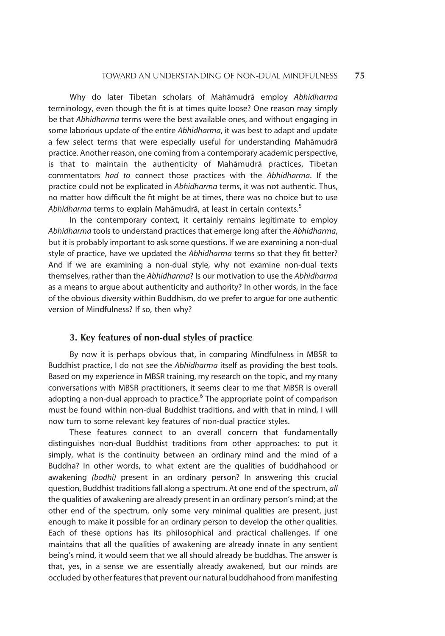#### TOWARD AN UNDERSTANDING OF NON-DUAL MINDFULNESS 75

Why do later Tibetan scholars of Mahāmudrā employ Abhidharma terminology, even though the fit is at times quite loose? One reason may simply be that Abhidharma terms were the best available ones, and without engaging in some laborious update of the entire Abhidharma, it was best to adapt and update a few select terms that were especially useful for understanding Mahāmudrā practice. Another reason, one coming from a contemporary academic perspective, is that to maintain the authenticity of Mahāmudrā practices. Tibetan commentators had to connect those practices with the Abhidharma. If the practice could not be explicated in Abhidharma terms, it was not authentic. Thus, no matter how difficult the fit might be at times, there was no choice but to use Abhidharma terms to explain Mahāmudrā, at least in certain contexts. $5$ 

In the contemporary context, it certainly remains legitimate to employ Abhidharma tools to understand practices that emerge long after the Abhidharma, but it is probably important to ask some questions. If we are examining a non-dual style of practice, have we updated the Abhidharma terms so that they fit better? And if we are examining a non-dual style, why not examine non-dual texts themselves, rather than the Abhidharma? Is our motivation to use the Abhidharma as a means to argue about authenticity and authority? In other words, in the face of the obvious diversity within Buddhism, do we prefer to argue for one authentic version of Mindfulness? If so, then why?

### 3. Key features of non-dual styles of practice

By now it is perhaps obvious that, in comparing Mindfulness in MBSR to Buddhist practice, I do not see the Abhidharma itself as providing the best tools. Based on my experience in MBSR training, my research on the topic, and my many conversations with MBSR practitioners, it seems clear to me that MBSR is overall adopting a non-dual approach to practice.<sup>6</sup> The appropriate point of comparison must be found within non-dual Buddhist traditions, and with that in mind, I will now turn to some relevant key features of non-dual practice styles.

These features connect to an overall concern that fundamentally distinguishes non-dual Buddhist traditions from other approaches: to put it simply, what is the continuity between an ordinary mind and the mind of a Buddha? In other words, to what extent are the qualities of buddhahood or awakening (bodhi) present in an ordinary person? In answering this crucial question, Buddhist traditions fall along a spectrum. At one end of the spectrum, all the qualities of awakening are already present in an ordinary person's mind; at the other end of the spectrum, only some very minimal qualities are present, just enough to make it possible for an ordinary person to develop the other qualities. Each of these options has its philosophical and practical challenges. If one maintains that all the qualities of awakening are already innate in any sentient being's mind, it would seem that we all should already be buddhas. The answer is that, yes, in a sense we are essentially already awakened, but our minds are occluded by other features that prevent our natural buddhahood from manifesting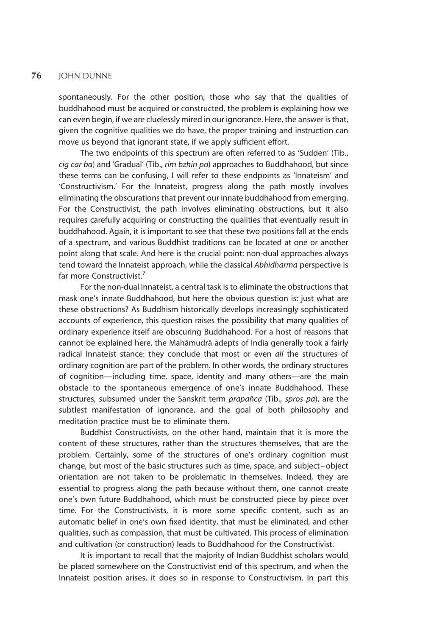spontaneously. For the other position, those who say that the qualities of buddhahood must be acquired or constructed, the problem is explaining how we can even begin, if we are cluelessly mired in our ignorance. Here, the answer is that, given the cognitive qualities we do have, the proper training and instruction can move us beyond that ignorant state, if we apply sufficient effort.

The two endpoints of this spectrum are often referred to as 'Sudden' (Tib., cig car ba) and 'Gradual' (Tib., rim bzhin pa) approaches to Buddhahood, but since these terms can be confusing, I will refer to these endpoints as 'Innateism' and 'Constructivism.' For the Innateist, progress along the path mostly involves eliminating the obscurations that prevent our innate buddhahood from emerging. For the Constructivist, the path involves eliminating obstructions, but it also requires carefully acquiring or constructing the qualities that eventually result in buddhahood. Again, it is important to see that these two positions fall at the ends of a spectrum, and various Buddhist traditions can be located at one or another point along that scale. And here is the crucial point: non-dual approaches always tend toward the Innateist approach, while the classical Abhidharma perspective is far more Constructivist.<sup>7</sup>

For the non-dual Innateist, a central task is to eliminate the obstructions that mask one's innate Buddhahood, but here the obvious question is: just what are these obstructions? As Buddhism historically develops increasingly sophisticated accounts of experience, this question raises the possibility that many qualities of ordinary experience itself are obscuring Buddhahood. For a host of reasons that cannot be explained here, the Mahāmudrā adepts of India generally took a fairly radical Innateist stance: they conclude that most or even all the structures of ordinary cognition are part of the problem. In other words, the ordinary structures of cognition—including time, space, identity and many others—are the main obstacle to the spontaneous emergence of one's innate Buddhahood. These structures, subsumed under the Sanskrit term prapañca (Tib., spros pa), are the subtlest manifestation of ignorance, and the goal of both philosophy and meditation practice must be to eliminate them.

Buddhist Constructivists, on the other hand, maintain that it is more the content of these structures, rather than the structures themselves, that are the problem. Certainly, some of the structures of one's ordinary cognition must change, but most of the basic structures such as time, space, and subject– object orientation are not taken to be problematic in themselves. Indeed, they are essential to progress along the path because without them, one cannot create one's own future Buddhahood, which must be constructed piece by piece over time. For the Constructivists, it is more some specific content, such as an automatic belief in one's own fixed identity, that must be eliminated, and other qualities, such as compassion, that must be cultivated. This process of elimination and cultivation (or construction) leads to Buddhahood for the Constructivist.

It is important to recall that the majority of Indian Buddhist scholars would be placed somewhere on the Constructivist end of this spectrum, and when the Innateist position arises, it does so in response to Constructivism. In part this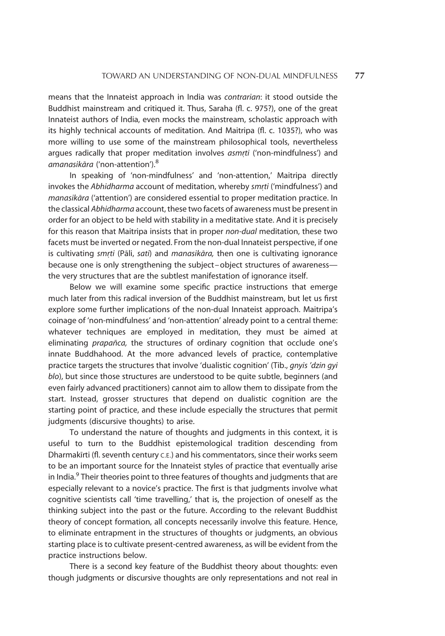means that the Innateist approach in India was contrarian: it stood outside the Buddhist mainstream and critiqued it. Thus, Saraha (fl. c. 975?), one of the great Innateist authors of India, even mocks the mainstream, scholastic approach with its highly technical accounts of meditation. And Maitripa (fl. c. 1035?), who was more willing to use some of the mainstream philosophical tools, nevertheless argues radically that proper meditation involves *asmrti* ('non-mindfulness') and<br>amanasikare ('non-attention') <sup>8</sup> amanasikāra ('non-attention').<sup>8</sup>

In speaking of 'non-mindfulness' and 'non-attention,' Maitripa directly invokes the *Abhidharma* account of meditation, whereby *smrti* ('mindfulness') and<br>manasikāre ('ettention') are considered essential to arener meditation prestice. In manasikāra ('attention') are considered essential to proper meditation practice. In the classical Abhidharma account, these two facets of awareness must be present in order for an object to be held with stability in a meditative state. And it is precisely for this reason that Maitripa insists that in proper non-dual meditation, these two facets must be inverted or negated. From the non-dual Innateist perspective, if one is cultivating smrti (Pāli, sati) and manasikāra, then one is cultivating ignorance<br>because ane is anly strengthening the subject, abject structures of augmanose because one is only strengthening the subject–object structures of awareness the very structures that are the subtlest manifestation of ignorance itself.

Below we will examine some specific practice instructions that emerge much later from this radical inversion of the Buddhist mainstream, but let us first explore some further implications of the non-dual Innateist approach. Maitripa's coinage of 'non-mindfulness' and 'non-attention' already point to a central theme: whatever techniques are employed in meditation, they must be aimed at eliminating *prapañca*, the structures of ordinary cognition that occlude one's innate Buddhahood. At the more advanced levels of practice, contemplative practice targets the structures that involve 'dualistic cognition' (Tib., gnyis 'dzin gyi blo), but since those structures are understood to be quite subtle, beginners (and even fairly advanced practitioners) cannot aim to allow them to dissipate from the start. Instead, grosser structures that depend on dualistic cognition are the starting point of practice, and these include especially the structures that permit judgments (discursive thoughts) to arise.

To understand the nature of thoughts and judgments in this context, it is useful to turn to the Buddhist epistemological tradition descending from Dharmakīrti (fl. seventh century  $c.e.$ ) and his commentators, since their works seem to be an important source for the Innateist styles of practice that eventually arise in India.<sup>9</sup> Their theories point to three features of thoughts and judgments that are especially relevant to a novice's practice. The first is that judgments involve what cognitive scientists call 'time travelling,' that is, the projection of oneself as the thinking subject into the past or the future. According to the relevant Buddhist theory of concept formation, all concepts necessarily involve this feature. Hence, to eliminate entrapment in the structures of thoughts or judgments, an obvious starting place is to cultivate present-centred awareness, as will be evident from the practice instructions below.

There is a second key feature of the Buddhist theory about thoughts: even though judgments or discursive thoughts are only representations and not real in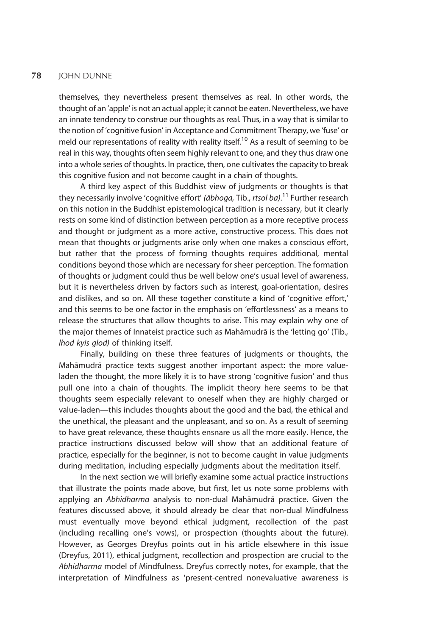themselves, they nevertheless present themselves as real. In other words, the thought of an 'apple' is not an actual apple; it cannot be eaten. Nevertheless, we have an innate tendency to construe our thoughts as real. Thus, in a way that is similar to the notion of 'cognitive fusion' in Acceptance and Commitment Therapy, we 'fuse' or meld our representations of reality with reality itself.<sup>10</sup> As a result of seeming to be real in this way, thoughts often seem highly relevant to one, and they thus draw one into a whole series of thoughts. In practice, then, one cultivates the capacity to break this cognitive fusion and not become caught in a chain of thoughts.

A third key aspect of this Buddhist view of judgments or thoughts is that they necessarily involve 'cognitive effort' (ābhoga, Tib., rtsol ba).<sup>11</sup> Further research on this notion in the Buddhist epistemological tradition is necessary, but it clearly rests on some kind of distinction between perception as a more receptive process and thought or judgment as a more active, constructive process. This does not mean that thoughts or judgments arise only when one makes a conscious effort, but rather that the process of forming thoughts requires additional, mental conditions beyond those which are necessary for sheer perception. The formation of thoughts or judgment could thus be well below one's usual level of awareness, but it is nevertheless driven by factors such as interest, goal-orientation, desires and dislikes, and so on. All these together constitute a kind of 'cognitive effort,' and this seems to be one factor in the emphasis on 'effortlessness' as a means to release the structures that allow thoughts to arise. This may explain why one of the major themes of Innateist practice such as Mahāmudrā is the 'letting go' (Tib., lhod kyis glod) of thinking itself.

Finally, building on these three features of judgments or thoughts, the Mahāmudrā practice texts suggest another important aspect: the more valueladen the thought, the more likely it is to have strong 'cognitive fusion' and thus pull one into a chain of thoughts. The implicit theory here seems to be that thoughts seem especially relevant to oneself when they are highly charged or value-laden—this includes thoughts about the good and the bad, the ethical and the unethical, the pleasant and the unpleasant, and so on. As a result of seeming to have great relevance, these thoughts ensnare us all the more easily. Hence, the practice instructions discussed below will show that an additional feature of practice, especially for the beginner, is not to become caught in value judgments during meditation, including especially judgments about the meditation itself.

In the next section we will briefly examine some actual practice instructions that illustrate the points made above, but first, let us note some problems with applying an Abhidharma analysis to non-dual Mahāmudrā practice. Given the features discussed above, it should already be clear that non-dual Mindfulness must eventually move beyond ethical judgment, recollection of the past (including recalling one's vows), or prospection (thoughts about the future). However, as Georges Dreyfus points out in his article elsewhere in this issue (Dreyfus, 2011), ethical judgment, recollection and prospection are crucial to the Abhidharma model of Mindfulness. Dreyfus correctly notes, for example, that the interpretation of Mindfulness as 'present-centred nonevaluative awareness is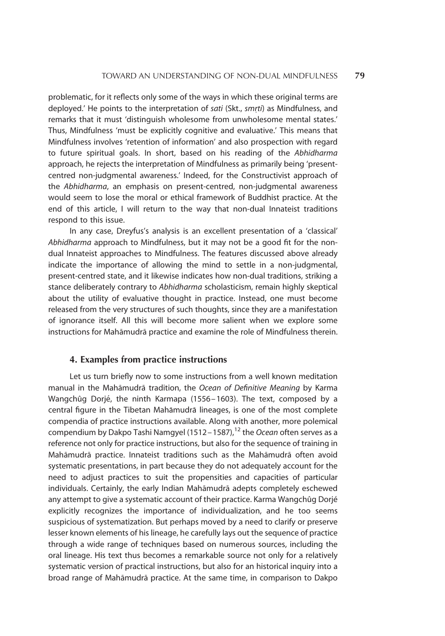problematic, for it reflects only some of the ways in which these original terms are deployed.' He points to the interpretation of *sati* (Skt., *smrti*) as Mindfulness, and<br>remarks that it must 'distinguish urbelsseme from unurheleseme mental states' remarks that it must 'distinguish wholesome from unwholesome mental states.' Thus, Mindfulness 'must be explicitly cognitive and evaluative.' This means that Mindfulness involves 'retention of information' and also prospection with regard to future spiritual goals. In short, based on his reading of the Abhidharma approach, he rejects the interpretation of Mindfulness as primarily being 'presentcentred non-judgmental awareness.' Indeed, for the Constructivist approach of the Abhidharma, an emphasis on present-centred, non-judgmental awareness would seem to lose the moral or ethical framework of Buddhist practice. At the end of this article, I will return to the way that non-dual Innateist traditions respond to this issue.

In any case, Dreyfus's analysis is an excellent presentation of a 'classical' Abhidharma approach to Mindfulness, but it may not be a good fit for the nondual Innateist approaches to Mindfulness. The features discussed above already indicate the importance of allowing the mind to settle in a non-judgmental, present-centred state, and it likewise indicates how non-dual traditions, striking a stance deliberately contrary to Abhidharma scholasticism, remain highly skeptical about the utility of evaluative thought in practice. Instead, one must become released from the very structures of such thoughts, since they are a manifestation of ignorance itself. All this will become more salient when we explore some instructions for Mahāmudrā practice and examine the role of Mindfulness therein.

## 4. Examples from practice instructions

Let us turn briefly now to some instructions from a well known meditation manual in the Mahāmudrā tradition, the Ocean of Definitive Meaning by Karma Wangchûg Dorjé, the ninth Karmapa (1556–1603). The text, composed by a central figure in the Tibetan Mahāmudrā lineages, is one of the most complete compendia of practice instructions available. Along with another, more polemical compendium by Dakpo Tashi Namgyel (1512–1587),<sup>12</sup> the *Ocean* often serves as a reference not only for practice instructions, but also for the sequence of training in Mahāmudrā practice. Innateist traditions such as the Mahāmudrā often avoid systematic presentations, in part because they do not adequately account for the need to adjust practices to suit the propensities and capacities of particular individuals. Certainly, the early Indian Mahāmudrā adepts completely eschewed any attempt to give a systematic account of their practice. Karma Wangchûg Dorjé explicitly recognizes the importance of individualization, and he too seems suspicious of systematization. But perhaps moved by a need to clarify or preserve lesser known elements of his lineage, he carefully lays out the sequence of practice through a wide range of techniques based on numerous sources, including the oral lineage. His text thus becomes a remarkable source not only for a relatively systematic version of practical instructions, but also for an historical inquiry into a broad range of Mahāmudrā practice. At the same time, in comparison to Dakpo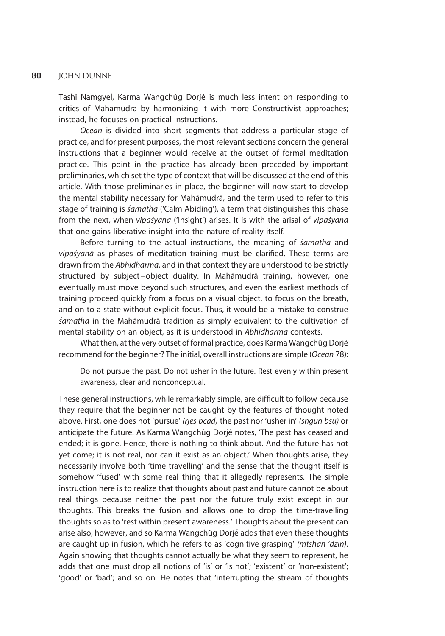Tashi Namgyel, Karma Wangchûg Dorjé is much less intent on responding to critics of Mahāmudrā by harmonizing it with more Constructivist approaches; instead, he focuses on practical instructions.

Ocean is divided into short segments that address a particular stage of practice, and for present purposes, the most relevant sections concern the general instructions that a beginner would receive at the outset of formal meditation practice. This point in the practice has already been preceded by important preliminaries, which set the type of context that will be discussed at the end of this article. With those preliminaries in place, the beginner will now start to develop the mental stability necessary for Mahāmudrā, and the term used to refer to this stage of training is *śamatha* ('Calm Abiding'), a term that distinguishes this phase from the next, when *vipas<sup>\*</sup>yana</sub>* ('Insight') arises. It is with the arisal of *vipas<sup>\*</sup>yana* that one gains liberative insight into the nature of reality itself.

Before turning to the actual instructions, the meaning of *samatha* and  $vipašyanā$  as phases of meditation training must be clarified. These terms are drawn from the Abhidharma, and in that context they are understood to be strictly structured by subject-object duality. In Mahāmudrā training, however, one eventually must move beyond such structures, and even the earliest methods of training proceed quickly from a focus on a visual object, to focus on the breath, and on to a state without explicit focus. Thus, it would be a mistake to construe śamatha in the Mahāmudrā tradition as simply equivalent to the cultivation of mental stability on an object, as it is understood in Abhidharma contexts.

What then, at the very outset of formal practice, does Karma Wangchûg Dorjé recommend for the beginner? The initial, overall instructions are simple (Ocean 78):

Do not pursue the past. Do not usher in the future. Rest evenly within present awareness, clear and nonconceptual.

These general instructions, while remarkably simple, are difficult to follow because they require that the beginner not be caught by the features of thought noted above. First, one does not 'pursue' (ries bcad) the past nor 'usher in' (snqun bsu) or anticipate the future. As Karma Wangchûg Dorjé notes, 'The past has ceased and ended; it is gone. Hence, there is nothing to think about. And the future has not yet come; it is not real, nor can it exist as an object.' When thoughts arise, they necessarily involve both 'time travelling' and the sense that the thought itself is somehow 'fused' with some real thing that it allegedly represents. The simple instruction here is to realize that thoughts about past and future cannot be about real things because neither the past nor the future truly exist except in our thoughts. This breaks the fusion and allows one to drop the time-travelling thoughts so as to 'rest within present awareness.' Thoughts about the present can arise also, however, and so Karma Wangchûg Dorjé adds that even these thoughts are caught up in fusion, which he refers to as 'cognitive grasping' (*mtshan 'dzin*). Again showing that thoughts cannot actually be what they seem to represent, he adds that one must drop all notions of 'is' or 'is not'; 'existent' or 'non-existent'; 'good' or 'bad'; and so on. He notes that 'interrupting the stream of thoughts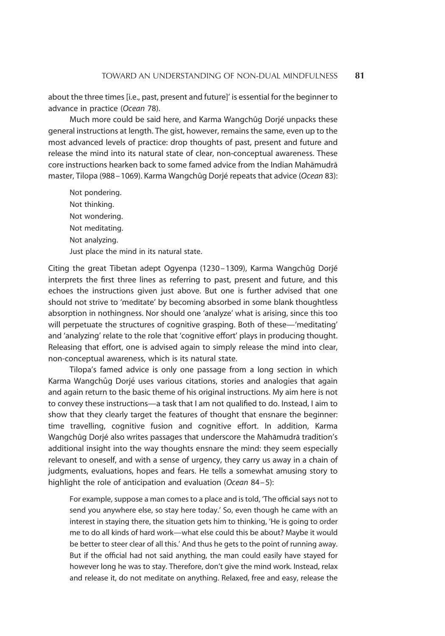about the three times [i.e., past, present and future]' is essential for the beginner to advance in practice (Ocean 78).

Much more could be said here, and Karma Wangchûg Dorjé unpacks these general instructions at length. The gist, however, remains the same, even up to the most advanced levels of practice: drop thoughts of past, present and future and release the mind into its natural state of clear, non-conceptual awareness. These core instructions hearken back to some famed advice from the Indian Mahāmudrā master, Tilopa (988 – 1069). Karma Wangchûg Dorjé repeats that advice (Ocean 83):

Not pondering. Not thinking. Not wondering. Not meditating. Not analyzing. Just place the mind in its natural state.

Citing the great Tibetan adept Ogyenpa (1230–1309), Karma Wangchûg Dorjé interprets the first three lines as referring to past, present and future, and this echoes the instructions given just above. But one is further advised that one should not strive to 'meditate' by becoming absorbed in some blank thoughtless absorption in nothingness. Nor should one 'analyze' what is arising, since this too will perpetuate the structures of cognitive grasping. Both of these—'meditating' and 'analyzing' relate to the role that 'cognitive effort' plays in producing thought. Releasing that effort, one is advised again to simply release the mind into clear, non-conceptual awareness, which is its natural state.

Tilopa's famed advice is only one passage from a long section in which Karma Wangchûg Dorjé uses various citations, stories and analogies that again and again return to the basic theme of his original instructions. My aim here is not to convey these instructions—a task that I am not qualified to do. Instead, I aim to show that they clearly target the features of thought that ensnare the beginner: time travelling, cognitive fusion and cognitive effort. In addition, Karma Wangchûg Dorjé also writes passages that underscore the Mahāmudrā tradition's additional insight into the way thoughts ensnare the mind: they seem especially relevant to oneself, and with a sense of urgency, they carry us away in a chain of judgments, evaluations, hopes and fears. He tells a somewhat amusing story to highlight the role of anticipation and evaluation (Ocean 84-5):

For example, suppose a man comes to a place and is told, 'The official says not to send you anywhere else, so stay here today.' So, even though he came with an interest in staying there, the situation gets him to thinking, 'He is going to order me to do all kinds of hard work—what else could this be about? Maybe it would be better to steer clear of all this.' And thus he gets to the point of running away. But if the official had not said anything, the man could easily have stayed for however long he was to stay. Therefore, don't give the mind work. Instead, relax and release it, do not meditate on anything. Relaxed, free and easy, release the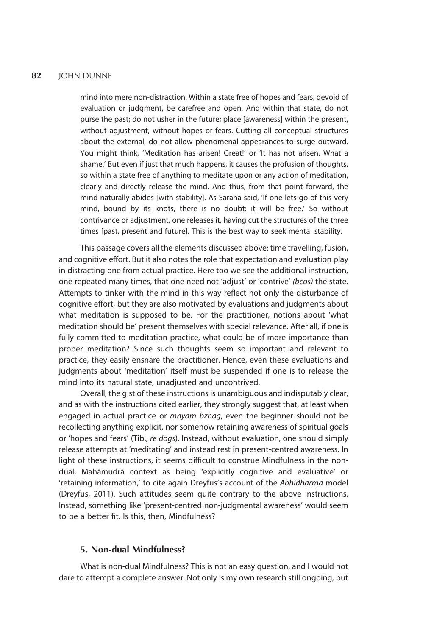mind into mere non-distraction. Within a state free of hopes and fears, devoid of evaluation or judgment, be carefree and open. And within that state, do not purse the past; do not usher in the future; place [awareness] within the present, without adjustment, without hopes or fears. Cutting all conceptual structures about the external, do not allow phenomenal appearances to surge outward. You might think, 'Meditation has arisen! Great!' or 'It has not arisen. What a shame.' But even if just that much happens, it causes the profusion of thoughts, so within a state free of anything to meditate upon or any action of meditation, clearly and directly release the mind. And thus, from that point forward, the mind naturally abides [with stability]. As Saraha said, 'If one lets go of this very mind, bound by its knots, there is no doubt: it will be free.' So without contrivance or adjustment, one releases it, having cut the structures of the three times [past, present and future]. This is the best way to seek mental stability.

This passage covers all the elements discussed above: time travelling, fusion, and cognitive effort. But it also notes the role that expectation and evaluation play in distracting one from actual practice. Here too we see the additional instruction, one repeated many times, that one need not 'adjust' or 'contrive' (bcos) the state. Attempts to tinker with the mind in this way reflect not only the disturbance of cognitive effort, but they are also motivated by evaluations and judgments about what meditation is supposed to be. For the practitioner, notions about 'what meditation should be' present themselves with special relevance. After all, if one is fully committed to meditation practice, what could be of more importance than proper meditation? Since such thoughts seem so important and relevant to practice, they easily ensnare the practitioner. Hence, even these evaluations and judgments about 'meditation' itself must be suspended if one is to release the mind into its natural state, unadjusted and uncontrived.

Overall, the gist of these instructions is unambiguous and indisputably clear, and as with the instructions cited earlier, they strongly suggest that, at least when engaged in actual practice or *mnyam bzhag*, even the beginner should not be recollecting anything explicit, nor somehow retaining awareness of spiritual goals or 'hopes and fears' (Tib., re dogs). Instead, without evaluation, one should simply release attempts at 'meditating' and instead rest in present-centred awareness. In light of these instructions, it seems difficult to construe Mindfulness in the nondual, Mahāmudrā context as being 'explicitly cognitive and evaluative' or 'retaining information,' to cite again Dreyfus's account of the Abhidharma model (Dreyfus, 2011). Such attitudes seem quite contrary to the above instructions. Instead, something like 'present-centred non-judgmental awareness' would seem to be a better fit. Is this, then, Mindfulness?

## 5. Non-dual Mindfulness?

What is non-dual Mindfulness? This is not an easy question, and I would not dare to attempt a complete answer. Not only is my own research still ongoing, but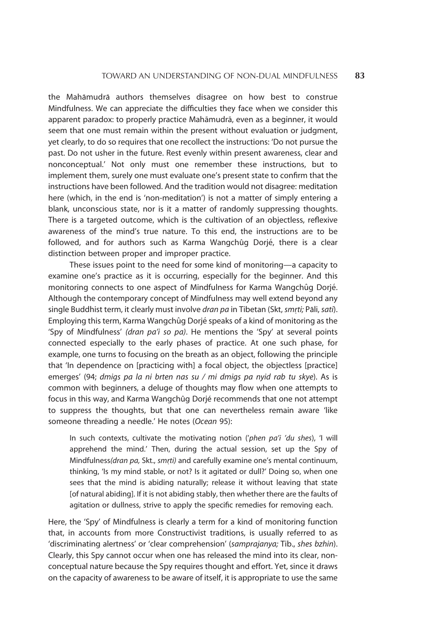the Mahāmudrā authors themselves disagree on how best to construe Mindfulness. We can appreciate the difficulties they face when we consider this apparent paradox: to properly practice Mahāmudrā, even as a beginner, it would seem that one must remain within the present without evaluation or judgment, yet clearly, to do so requires that one recollect the instructions: 'Do not pursue the past. Do not usher in the future. Rest evenly within present awareness, clear and nonconceptual.' Not only must one remember these instructions, but to implement them, surely one must evaluate one's present state to confirm that the instructions have been followed. And the tradition would not disagree: meditation here (which, in the end is 'non-meditation') is not a matter of simply entering a blank, unconscious state, nor is it a matter of randomly suppressing thoughts. There is a targeted outcome, which is the cultivation of an objectless, reflexive awareness of the mind's true nature. To this end, the instructions are to be followed, and for authors such as Karma Wangchûg Dorjé, there is a clear distinction between proper and improper practice.

These issues point to the need for some kind of monitoring—a capacity to examine one's practice as it is occurring, especially for the beginner. And this monitoring connects to one aspect of Mindfulness for Karma Wangchûg Dorjé. Although the contemporary concept of Mindfulness may well extend beyond any single Buddhist term, it clearly must involve *dran pa* in Tibetan (Skt, *smṛti; Pāli, sati).*<br>Emploring this term, Karma Wangshûg Derié speaks of a kind of menitering as the Employing this term, Karma Wangchûg Dorjé speaks of a kind of monitoring as the 'Spy of Mindfulness' (dran pa'i so pa). He mentions the 'Spy' at several points connected especially to the early phases of practice. At one such phase, for example, one turns to focusing on the breath as an object, following the principle that 'In dependence on [practicing with] a focal object, the objectless [practice] emerges' (94; dmigs pa la ni brten nas su / mi dmigs pa nyid rab tu skye). As is common with beginners, a deluge of thoughts may flow when one attempts to focus in this way, and Karma Wangchûg Dorjé recommends that one not attempt to suppress the thoughts, but that one can nevertheless remain aware 'like someone threading a needle.' He notes (Ocean 95):

In such contexts, cultivate the motivating notion ('phen pa'i 'du shes), 'I will apprehend the mind.' Then, during the actual session, set up the Spy of Mindfulness*(dran pa, S*kt., *smṛti)* and carefully examine one's mental continuum,<br>thinking the group is detailed as a stad is it exitated as dell<sup>a</sup>l Dais a secular assess thinking, 'Is my mind stable, or not? Is it agitated or dull?' Doing so, when one sees that the mind is abiding naturally; release it without leaving that state [of natural abiding]. If it is not abiding stably, then whether there are the faults of agitation or dullness, strive to apply the specific remedies for removing each.

Here, the 'Spy' of Mindfulness is clearly a term for a kind of monitoring function that, in accounts from more Constructivist traditions, is usually referred to as 'discriminating alertness' or 'clear comprehension' (samprajanya; Tib., shes bzhin). Clearly, this Spy cannot occur when one has released the mind into its clear, nonconceptual nature because the Spy requires thought and effort. Yet, since it draws on the capacity of awareness to be aware of itself, it is appropriate to use the same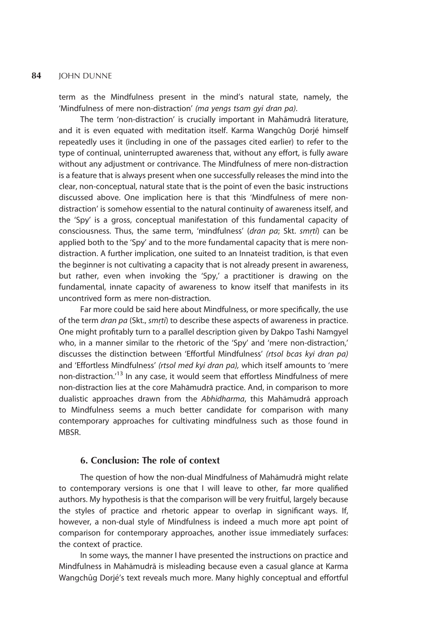term as the Mindfulness present in the mind's natural state, namely, the 'Mindfulness of mere non-distraction' (ma yengs tsam gyi dran pa).

The term 'non-distraction' is crucially important in Mahāmudrā literature, and it is even equated with meditation itself. Karma Wangchûg Dorjé himself repeatedly uses it (including in one of the passages cited earlier) to refer to the type of continual, uninterrupted awareness that, without any effort, is fully aware without any adjustment or contrivance. The Mindfulness of mere non-distraction is a feature that is always present when one successfully releases the mind into the clear, non-conceptual, natural state that is the point of even the basic instructions discussed above. One implication here is that this 'Mindfulness of mere nondistraction' is somehow essential to the natural continuity of awareness itself, and the 'Spy' is a gross, conceptual manifestation of this fundamental capacity of consciousness. Thus, the same term, 'mindfulness' (dran pa; Skt. smrti) can be<br>conlied beth to the 'Car' and to the more fundamental conscitution is more nonapplied both to the 'Spy' and to the more fundamental capacity that is mere nondistraction. A further implication, one suited to an Innateist tradition, is that even the beginner is not cultivating a capacity that is not already present in awareness, but rather, even when invoking the 'Spy,' a practitioner is drawing on the fundamental, innate capacity of awareness to know itself that manifests in its uncontrived form as mere non-distraction.

Far more could be said here about Mindfulness, or more specifically, the use of the term dran pa (Skt., smrti) to describe these aspects of awareness in practice.<br>One might prefitably turn to a parallel description given by Dalma Tashi Nameval One might profitably turn to a parallel description given by Dakpo Tashi Namgyel who, in a manner similar to the rhetoric of the 'Spy' and 'mere non-distraction,' discusses the distinction between 'Effortful Mindfulness' (rtsol bcas kyi dran pa) and 'Effortless Mindfulness' (rtsol med kyi dran pa), which itself amounts to 'mere non-distraction.'<sup>13</sup> In any case, it would seem that effortless Mindfulness of mere non-distraction lies at the core Mahāmudrā practice. And, in comparison to more dualistic approaches drawn from the Abhidharma, this Mahāmudrā approach to Mindfulness seems a much better candidate for comparison with many contemporary approaches for cultivating mindfulness such as those found in MBSR.

## 6. Conclusion: The role of context

The question of how the non-dual Mindfulness of Mahāmudrā might relate to contemporary versions is one that I will leave to other, far more qualified authors. My hypothesis is that the comparison will be very fruitful, largely because the styles of practice and rhetoric appear to overlap in significant ways. If, however, a non-dual style of Mindfulness is indeed a much more apt point of comparison for contemporary approaches, another issue immediately surfaces: the context of practice.

In some ways, the manner I have presented the instructions on practice and Mindfulness in Mahāmudrā is misleading because even a casual glance at Karma Wangchûg Dorjé's text reveals much more. Many highly conceptual and effortful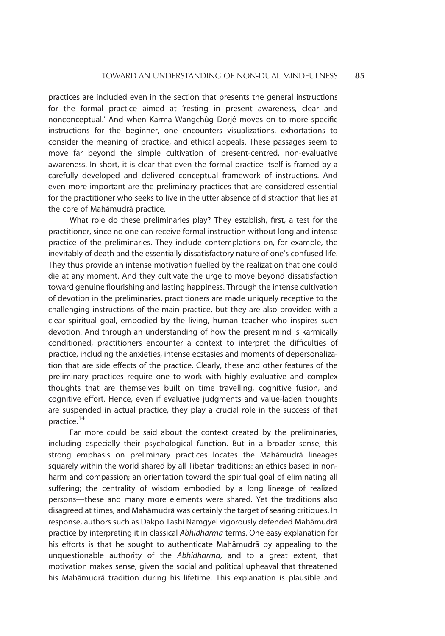practices are included even in the section that presents the general instructions for the formal practice aimed at 'resting in present awareness, clear and nonconceptual.' And when Karma Wangchûg Dorjé moves on to more specific instructions for the beginner, one encounters visualizations, exhortations to consider the meaning of practice, and ethical appeals. These passages seem to move far beyond the simple cultivation of present-centred, non-evaluative awareness. In short, it is clear that even the formal practice itself is framed by a carefully developed and delivered conceptual framework of instructions. And even more important are the preliminary practices that are considered essential for the practitioner who seeks to live in the utter absence of distraction that lies at the core of Mahāmudrā practice.

What role do these preliminaries play? They establish, first, a test for the practitioner, since no one can receive formal instruction without long and intense practice of the preliminaries. They include contemplations on, for example, the inevitably of death and the essentially dissatisfactory nature of one's confused life. They thus provide an intense motivation fuelled by the realization that one could die at any moment. And they cultivate the urge to move beyond dissatisfaction toward genuine flourishing and lasting happiness. Through the intense cultivation of devotion in the preliminaries, practitioners are made uniquely receptive to the challenging instructions of the main practice, but they are also provided with a clear spiritual goal, embodied by the living, human teacher who inspires such devotion. And through an understanding of how the present mind is karmically conditioned, practitioners encounter a context to interpret the difficulties of practice, including the anxieties, intense ecstasies and moments of depersonalization that are side effects of the practice. Clearly, these and other features of the preliminary practices require one to work with highly evaluative and complex thoughts that are themselves built on time travelling, cognitive fusion, and cognitive effort. Hence, even if evaluative judgments and value-laden thoughts are suspended in actual practice, they play a crucial role in the success of that practice.<sup>14</sup>

Far more could be said about the context created by the preliminaries, including especially their psychological function. But in a broader sense, this strong emphasis on preliminary practices locates the Mahāmudrā lineages squarely within the world shared by all Tibetan traditions: an ethics based in nonharm and compassion; an orientation toward the spiritual goal of eliminating all suffering; the centrality of wisdom embodied by a long lineage of realized persons—these and many more elements were shared. Yet the traditions also disagreed at times, and Mahāmudrā was certainly the target of searing critiques. In response, authors such as Dakpo Tashi Namgyel vigorously defended Mahāmudrā practice by interpreting it in classical Abhidharma terms. One easy explanation for his efforts is that he sought to authenticate Mahāmudrā by appealing to the unquestionable authority of the Abhidharma, and to a great extent, that motivation makes sense, given the social and political upheaval that threatened his Mahāmudrā tradition during his lifetime. This explanation is plausible and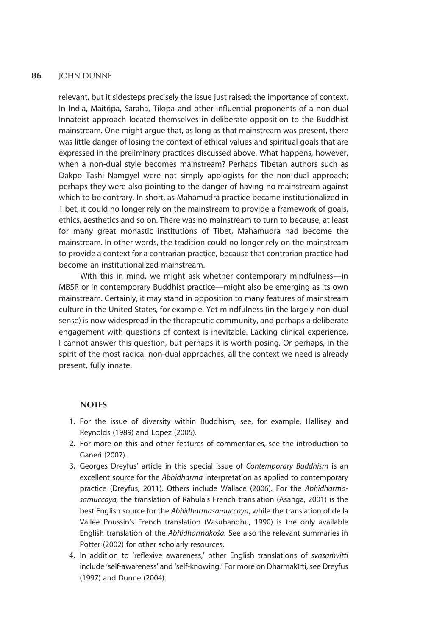relevant, but it sidesteps precisely the issue just raised: the importance of context. In India, Maitripa, Saraha, Tilopa and other influential proponents of a non-dual Innateist approach located themselves in deliberate opposition to the Buddhist mainstream. One might argue that, as long as that mainstream was present, there was little danger of losing the context of ethical values and spiritual goals that are expressed in the preliminary practices discussed above. What happens, however, when a non-dual style becomes mainstream? Perhaps Tibetan authors such as Dakpo Tashi Namgyel were not simply apologists for the non-dual approach; perhaps they were also pointing to the danger of having no mainstream against which to be contrary. In short, as Mahāmudrā practice became institutionalized in Tibet, it could no longer rely on the mainstream to provide a framework of goals, ethics, aesthetics and so on. There was no mainstream to turn to because, at least for many great monastic institutions of Tibet, Mahāmudrā had become the mainstream. In other words, the tradition could no longer rely on the mainstream to provide a context for a contrarian practice, because that contrarian practice had become an institutionalized mainstream.

With this in mind, we might ask whether contemporary mindfulness—in MBSR or in contemporary Buddhist practice—might also be emerging as its own mainstream. Certainly, it may stand in opposition to many features of mainstream culture in the United States, for example. Yet mindfulness (in the largely non-dual sense) is now widespread in the therapeutic community, and perhaps a deliberate engagement with questions of context is inevitable. Lacking clinical experience, I cannot answer this question, but perhaps it is worth posing. Or perhaps, in the spirit of the most radical non-dual approaches, all the context we need is already present, fully innate.

## **NOTES**

- 1. For the issue of diversity within Buddhism, see, for example, Hallisey and Reynolds (1989) and Lopez (2005).
- 2. For more on this and other features of commentaries, see the introduction to Ganeri (2007).
- 3. Georges Dreyfus' article in this special issue of Contemporary Buddhism is an excellent source for the Abhidharma interpretation as applied to contemporary practice (Dreyfus, 2011). Others include Wallace (2006). For the Abhidharmasamuccaya, the translation of Rāhula's French translation (Asaṅga, 2001) is the best English source for the Abhidharmasamuccaya, while the translation of de la Vallée Poussin's French translation (Vasubandhu, 1990) is the only available English translation of the Abhidharmakośa. See also the relevant summaries in Potter (2002) for other scholarly resources.
- 4. In addition to 'reflexive awareness,' other English translations of svasamvitti include 'self-awareness' and 'self-knowing.' For more on Dharmakīrti, see Dreyfus (1997) and Dunne (2004).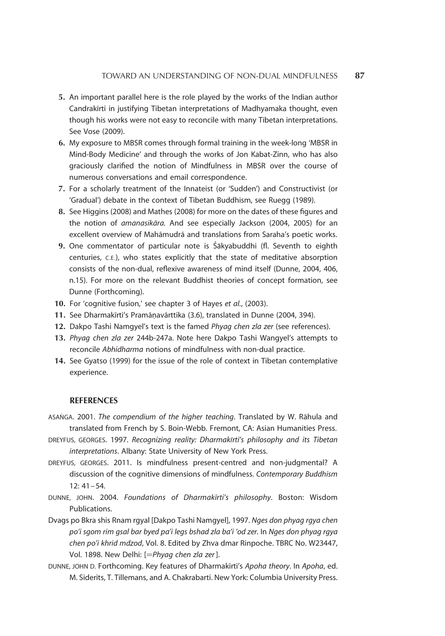- 5. An important parallel here is the role played by the works of the Indian author Candrakīrti in justifying Tibetan interpretations of Madhyamaka thought, even though his works were not easy to reconcile with many Tibetan interpretations. See Vose (2009).
- 6. My exposure to MBSR comes through formal training in the week-long 'MBSR in Mind-Body Medicine' and through the works of Jon Kabat-Zinn, who has also graciously clarified the notion of Mindfulness in MBSR over the course of numerous conversations and email correspondence.
- 7. For a scholarly treatment of the Innateist (or 'Sudden') and Constructivist (or 'Gradual') debate in the context of Tibetan Buddhism, see Ruegg (1989).
- 8. See Higgins (2008) and Mathes (2008) for more on the dates of these figures and the notion of *amanasikāra*. And see especially Jackson (2004, 2005) for an excellent overview of Mahāmudrā and translations from Saraha's poetic works.
- 9. One commentator of particular note is Sakyabuddhi (fl. Seventh to eighth centuries, C.E.), who states explicitly that the state of meditative absorption consists of the non-dual, reflexive awareness of mind itself (Dunne, 2004, 406, n.15). For more on the relevant Buddhist theories of concept formation, see Dunne (Forthcoming).
- 10. For 'cognitive fusion,' see chapter 3 of Hayes et al., (2003).
- 11. See Dharmakīrti's Pramāṇavārttika (3.6), translated in Dunne (2004, 394).
- 11. Jee Bhannamin J. Hanagarahuma (Bib), hanslated in Danne (2007, 307).<br>12. Dakpo Tashi Namgyel's text is the famed Phyag chen zla zer (see references).
- 13. Phyag chen zla zer 244b-247a. Note here Dakpo Tashi Wangyel's attempts to reconcile Abhidharma notions of mindfulness with non-dual practice.
- 14. See Gyatso (1999) for the issue of the role of context in Tibetan contemplative experience.

#### **REFERENCES**

- ASANGA. 2001. The compendium of the higher teaching. Translated by W. Rahula and translated from French by S. Boin-Webb. Fremont, CA: Asian Humanities Press.
- DREYFUS, GEORGES. 1997. Recognizing reality: Dharmakīrti's philosophy and its Tibetan interpretations. Albany: State University of New York Press.
- DREYFUS, GEORGES. 2011. Is mindfulness present-centred and non-judgmental? A discussion of the cognitive dimensions of mindfulness. Contemporary Buddhism 12: 41 –54.
- DUNNE, JOHN. 2004. Foundations of Dharmakīrti's philosophy. Boston: Wisdom Publications.
- Dvags po Bkra shis Rnam rgyal [Dakpo Tashi Namgyel], 1997. Nges don phyag rgya chen po'i sgom rim gsal bar byed pa'i legs bshad zla ba'i 'od zer. In Nges don phyag rgya chen po'i khrid mdzod, Vol. 8. Edited by Zhva dmar Rinpoche. TBRC No. W23447, Vol. 1898. New Delhi: [=Phyag chen zla zer].
- DUNNE, JOHN D. Forthcoming. Key features of Dharmakīrti's Apoha theory. In Apoha, ed. M. Siderits, T. Tillemans, and A. Chakrabarti. New York: Columbia University Press.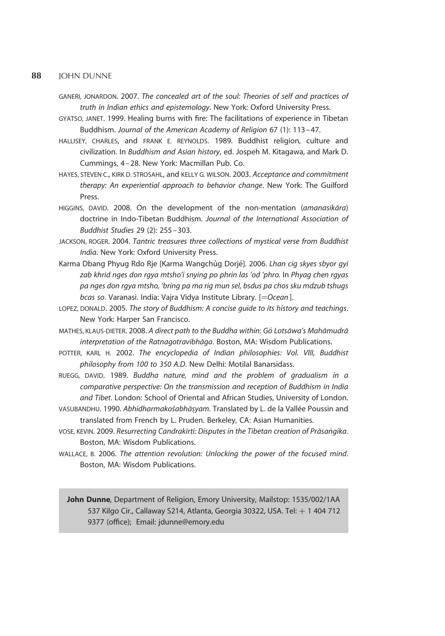- 88 JOHN DUNNE
	- GANERI, JONARDON. 2007. The concealed art of the soul: Theories of self and practices of truth in Indian ethics and epistemology. New York: Oxford University Press.
	- GYATSO, JANET. 1999. Healing burns with fire: The facilitations of experience in Tibetan Buddhism. Journal of the American Academy of Religion 67 (1): 113–47.
	- HALLISEY, CHARLES, and FRANK E. REYNOLDS. 1989. Buddhist religion, culture and civilization. In Buddhism and Asian history, ed. Jospeh M. Kitagawa, and Mark D. Cummings, 4–28. New York: Macmillan Pub. Co.
	- HAYES, STEVEN C., KIRK D. STROSAHL, and KELLY G. WILSON. 2003. Acceptance and commitment therapy: An experiential approach to behavior change. New York: The Guilford Press.
	- HIGGINS, DAVID. 2008. On the development of the non-mentation (amanasikāra) doctrine in Indo-Tibetan Buddhism. Journal of the International Association of Buddhist Studies 29 (2): 255–303.
	- JACKSON, ROGER. 2004. Tantric treasures three collections of mystical verse from Buddhist India. New York: Oxford University Press.
	- Karma Dbang Phyug Rdo Rje [Karma Wangchûg Dorjé]. 2006. Lhan cig skyes sbyor gyi zab khrid nges don rgya mtsho'i snying po phrin las 'od 'phro. In Phyag chen rgyas pa nges don rgya mtsho, 'bring pa ma rig mun sel, bsdus pa chos sku mdzub tshugs bcas so. Varanasi. India: Vajra Vidya Institute Library. [= Ocean ].
	- LOPEZ, DONALD. 2005. The story of Buddhism: A concise guide to its history and teachings. New York: Harper San Francisco.
	- MATHES, KLAUS-DIETER. 2008. A direct path to the Buddha within: Gö Lotsāwa's Mahāmudrā interpretation of the Ratnagotravibhāga. Boston, MA: Wisdom Publications.
	- POTTER, KARL H. 2002. The encyclopedia of Indian philosophies: Vol. VIII, Buddhist philosophy from 100 to 350 A.D. New Delhi: Motilal Banarsidass.
	- RUEGG, DAVID. 1989. Buddha nature, mind and the problem of gradualism in a comparative perspective: On the transmission and reception of Buddhism in India and Tibet. London: School of Oriental and African Studies, University of London.
	- VASUBANDHU. 1990. Abhidharmakos´abhāṣyam. Translated by L. de la Vallée Poussin and \_ translated from French by L. Pruden. Berkeley, CA: Asian Humanities.
	- VOSE, KEVIN. 2009. Resurrecting Candrakīrti: Disputes in the Tibetan creation of Prāsangika. Boston, MA: Wisdom Publications.
	- WALLACE, B. 2006. The attention revolution: Unlocking the power of the focused mind. Boston, MA: Wisdom Publications.

John Dunne, Department of Religion, Emory University, Mailstop: 1535/002/1AA 537 Kilgo Cir., Callaway S214, Atlanta, Georgia 30322, USA. Tel: + 1 404 712 9377 (office); Email: jdunne@emory.edu